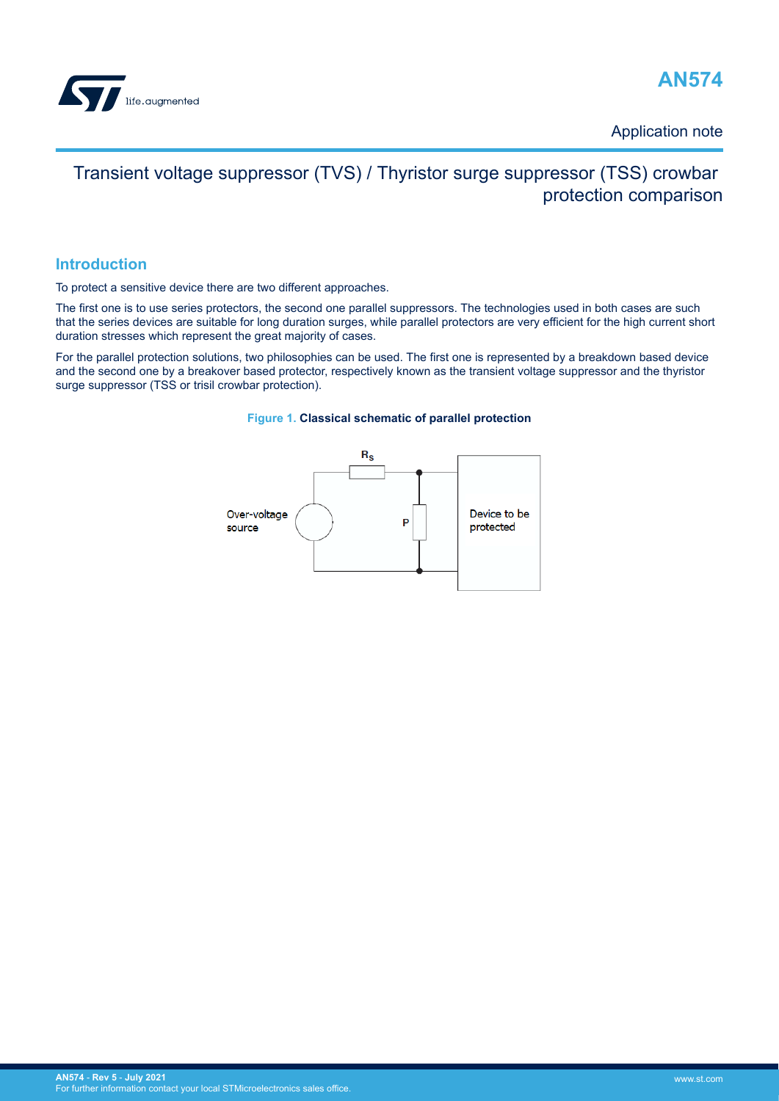<span id="page-0-0"></span>



Application note

# Transient voltage suppressor (TVS) / Thyristor surge suppressor (TSS) crowbar protection comparison

## **Introduction**

To protect a sensitive device there are two different approaches.

The first one is to use series protectors, the second one parallel suppressors. The technologies used in both cases are such that the series devices are suitable for long duration surges, while parallel protectors are very efficient for the high current short duration stresses which represent the great majority of cases.

For the parallel protection solutions, two philosophies can be used. The first one is represented by a breakdown based device and the second one by a breakover based protector, respectively known as the transient voltage suppressor and the thyristor surge suppressor (TSS or trisil crowbar protection).



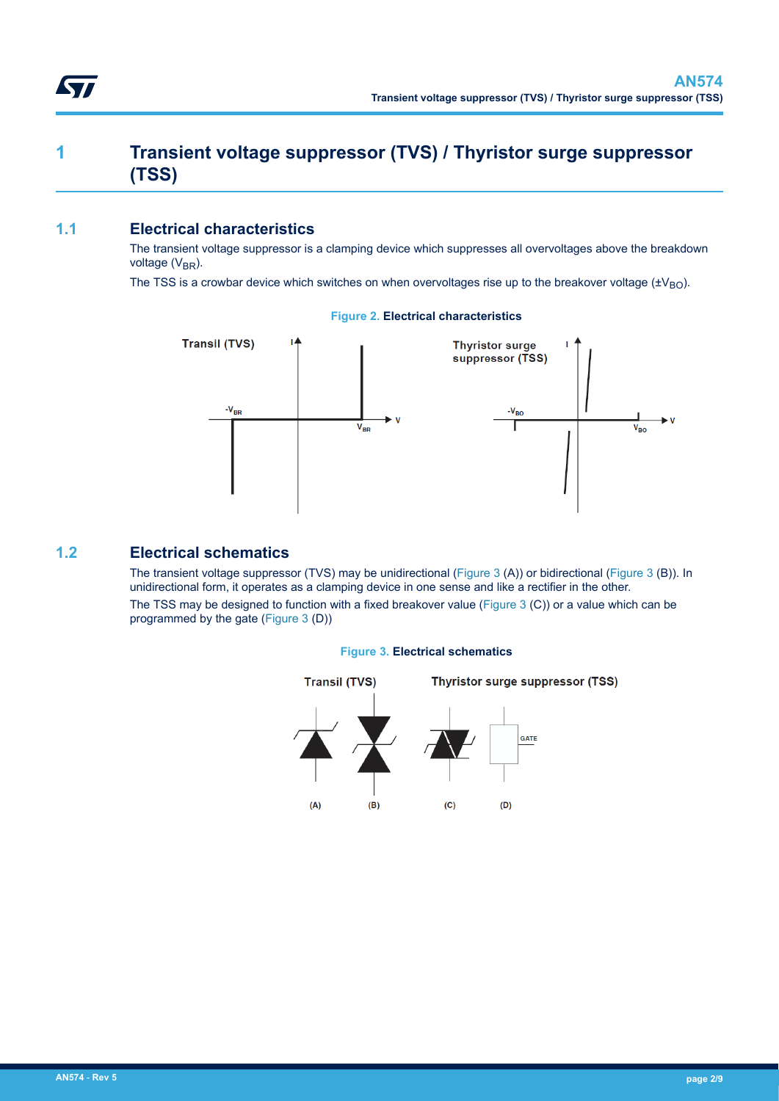# <span id="page-1-0"></span>**1 Transient voltage suppressor (TVS) / Thyristor surge suppressor (TSS)**

## **1.1 Electrical characteristics**

The transient voltage suppressor is a clamping device which suppresses all overvoltages above the breakdown voltage  $(V_{BR})$ .

The TSS is a crowbar device which switches on when overvoltages rise up to the breakover voltage  $(\pm V_{BO})$ .



#### **Figure 2. Electrical characteristics**

## **1.2 Electrical schematics**

The transient voltage suppressor (TVS) may be unidirectional (Figure 3 (A)) or bidirectional (Figure 3 (B)). In unidirectional form, it operates as a clamping device in one sense and like a rectifier in the other. The TSS may be designed to function with a fixed breakover value (Figure 3 (C)) or a value which can be programmed by the gate (Figure 3 (D))



### **Figure 3. Electrical schematics**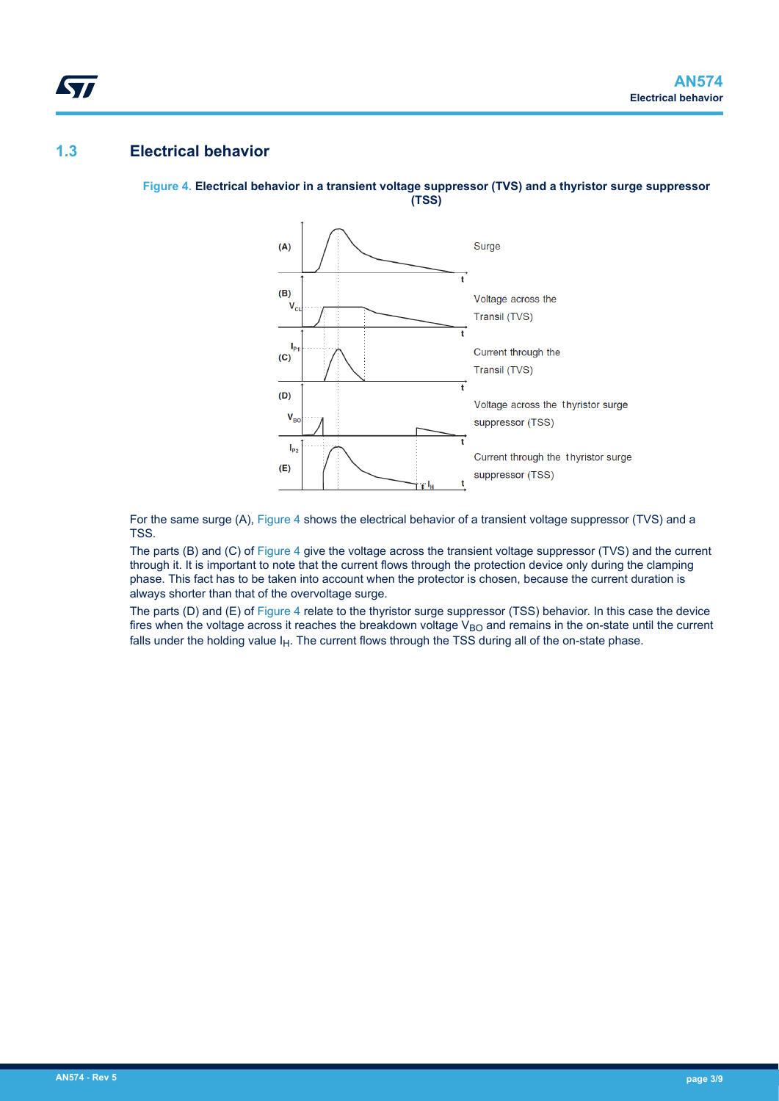## **1.3 Electrical behavior**

<span id="page-2-0"></span>W

#### **Figure 4. Electrical behavior in a transient voltage suppressor (TVS) and a thyristor surge suppressor (TSS)**



For the same surge (A), Figure 4 shows the electrical behavior of a transient voltage suppressor (TVS) and a TSS.

The parts (B) and (C) of Figure 4 give the voltage across the transient voltage suppressor (TVS) and the current through it. It is important to note that the current flows through the protection device only during the clamping phase. This fact has to be taken into account when the protector is chosen, because the current duration is always shorter than that of the overvoltage surge.

The parts (D) and (E) of Figure 4 relate to the thyristor surge suppressor (TSS) behavior. In this case the device fires when the voltage across it reaches the breakdown voltage  $V_{BO}$  and remains in the on-state until the current falls under the holding value  $I_H$ . The current flows through the TSS during all of the on-state phase.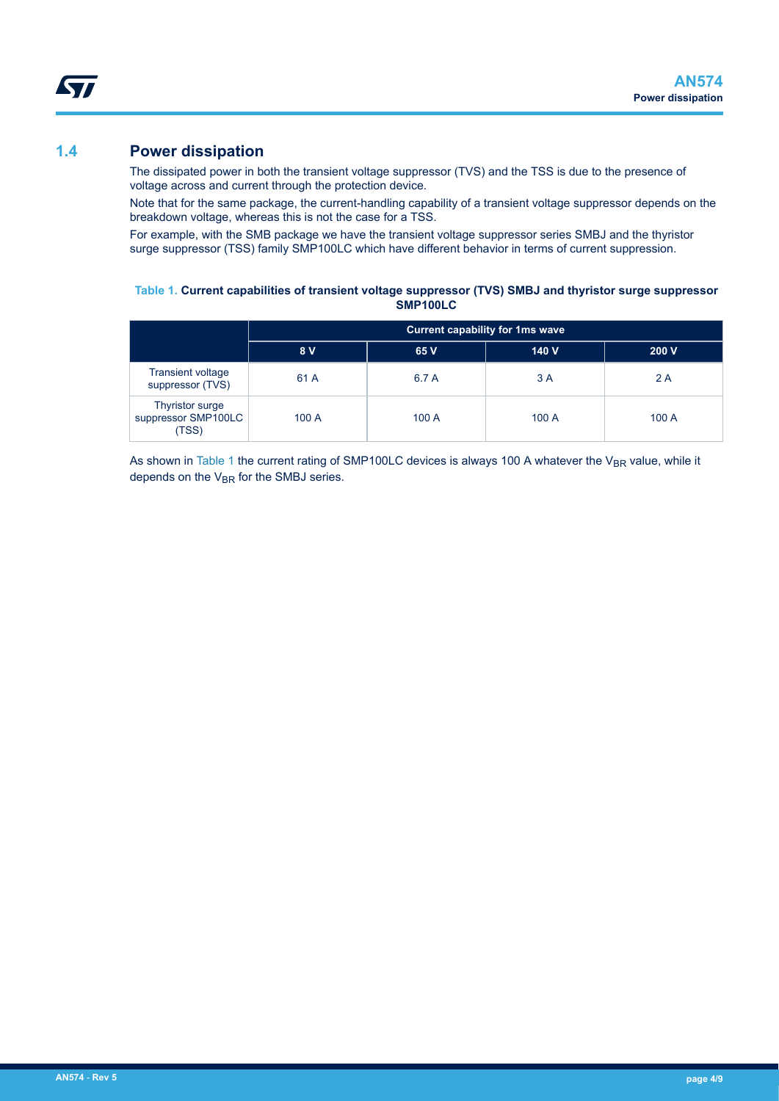## **1.4 Power dissipation**

<span id="page-3-0"></span>ST

The dissipated power in both the transient voltage suppressor (TVS) and the TSS is due to the presence of voltage across and current through the protection device.

Note that for the same package, the current-handling capability of a transient voltage suppressor depends on the breakdown voltage, whereas this is not the case for a TSS.

For example, with the SMB package we have the transient voltage suppressor series SMBJ and the thyristor surge suppressor (TSS) family SMP100LC which have different behavior in terms of current suppression.

#### **Table 1. Current capabilities of transient voltage suppressor (TVS) SMBJ and thyristor surge suppressor SMP100LC**

|                                                 | <b>Current capability for 1ms wave</b> |       |       |       |
|-------------------------------------------------|----------------------------------------|-------|-------|-------|
|                                                 | 8 V                                    | 65 V  | 140 V | 200V  |
| <b>Transient voltage</b><br>suppressor (TVS)    | 61 A                                   | 6.7 A | 3 A   | 2 A   |
| Thyristor surge<br>suppressor SMP100LC<br>(TSS) | 100 A                                  | 100A  | 100 A | 100 A |

As shown in Table 1 the current rating of SMP100LC devices is always 100 A whatever the V<sub>BR</sub> value, while it depends on the  $V_{BR}$  for the SMBJ series.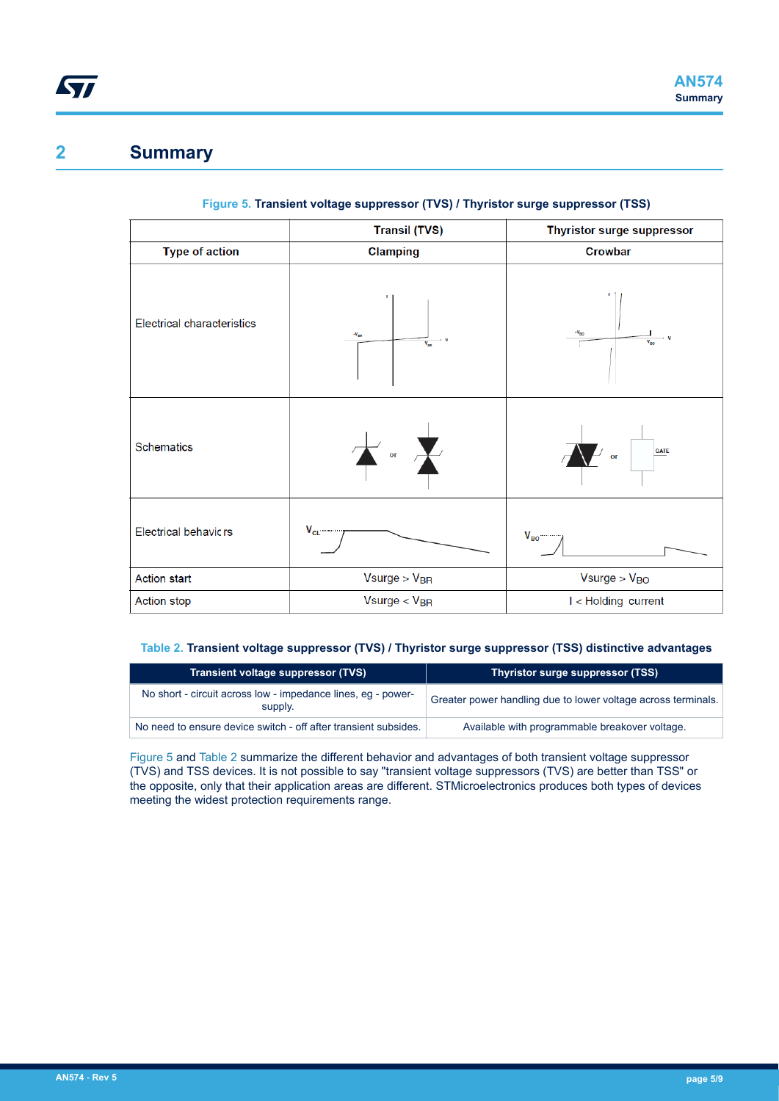## <span id="page-4-0"></span>**2 Summary**

|                                   | <b>Transil (TVS)</b>             | Thyristor surge suppressor                                                   |
|-----------------------------------|----------------------------------|------------------------------------------------------------------------------|
| <b>Type of action</b>             | Clamping                         | Crowbar                                                                      |
| <b>Electrical characteristics</b> | $-V_{nn}$<br>- v<br>$V_{\rm BH}$ | $-V_{BO}$<br>÷v<br>$\overline{\mathsf{v}}_{\scriptscriptstyle{\mathsf{BO}}}$ |
| Schematics                        | or $\sum$                        | <b>GATE</b><br>$\overline{\text{or}}$                                        |
| <b>Electrical behavicrs</b>       | $V_{CL}$                         | $V_{BO}$                                                                     |
| <b>Action start</b>               | $V$ surge > $V_{BR}$             | $V$ surge > $V_{BO}$                                                         |
| Action stop                       | $V$ surge < $V_{BR}$             | I < Holding current                                                          |

### **Figure 5. Transient voltage suppressor (TVS) / Thyristor surge suppressor (TSS)**

### **Table 2. Transient voltage suppressor (TVS) / Thyristor surge suppressor (TSS) distinctive advantages**

| <b>Transient voltage suppressor (TVS)</b>                               | Thyristor surge suppressor (TSS)                              |
|-------------------------------------------------------------------------|---------------------------------------------------------------|
| No short - circuit across low - impedance lines, eq - power-<br>supply. | Greater power handling due to lower voltage across terminals. |
| No need to ensure device switch - off after transient subsides.         | Available with programmable breakover voltage.                |

Figure 5 and Table 2 summarize the different behavior and advantages of both transient voltage suppressor (TVS) and TSS devices. It is not possible to say "transient voltage suppressors (TVS) are better than TSS" or the opposite, only that their application areas are different. STMicroelectronics produces both types of devices meeting the widest protection requirements range.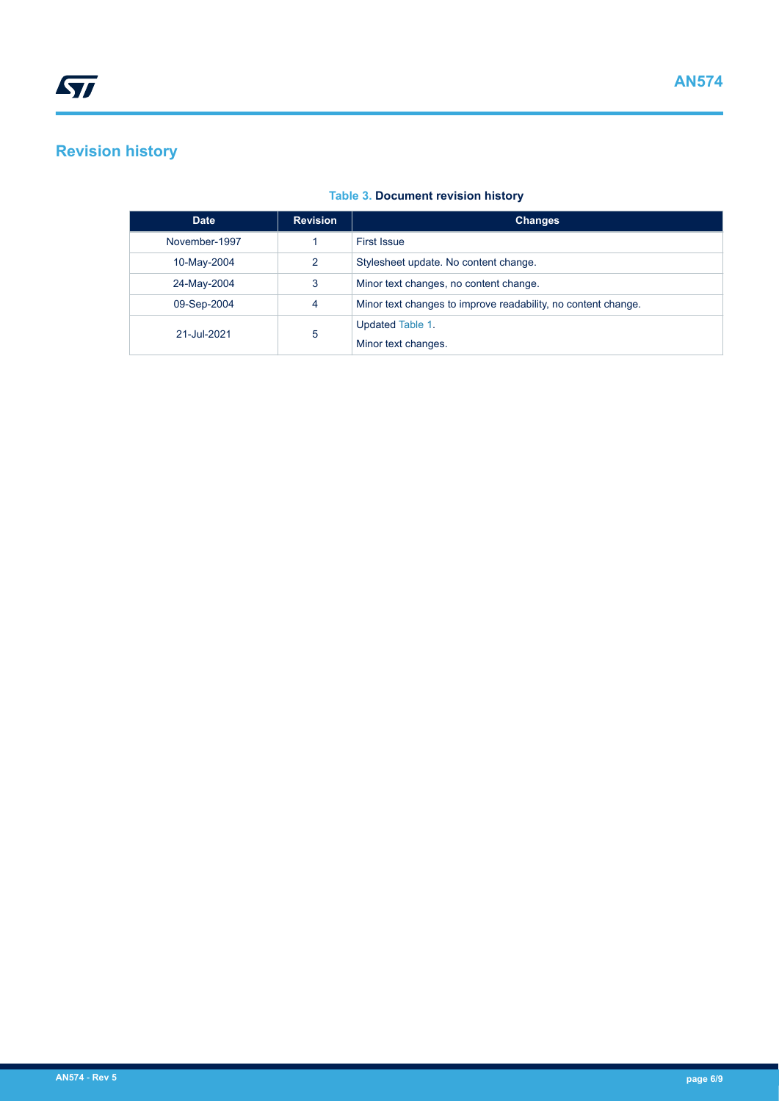# <span id="page-5-0"></span>**Revision history**

| <b>Table 3. Document revision history</b> |  |  |  |  |
|-------------------------------------------|--|--|--|--|
|-------------------------------------------|--|--|--|--|

| <b>Date</b>   | <b>Revision</b> | <b>Changes</b>                                                |
|---------------|-----------------|---------------------------------------------------------------|
| November-1997 |                 | <b>First Issue</b>                                            |
| 10-May-2004   | $\mathcal{P}$   | Stylesheet update. No content change.                         |
| 24-May-2004   | 3               | Minor text changes, no content change.                        |
| 09-Sep-2004   | 4               | Minor text changes to improve readability, no content change. |
| 21-Jul-2021   | 5               | Updated Table 1.                                              |
|               |                 | Minor text changes.                                           |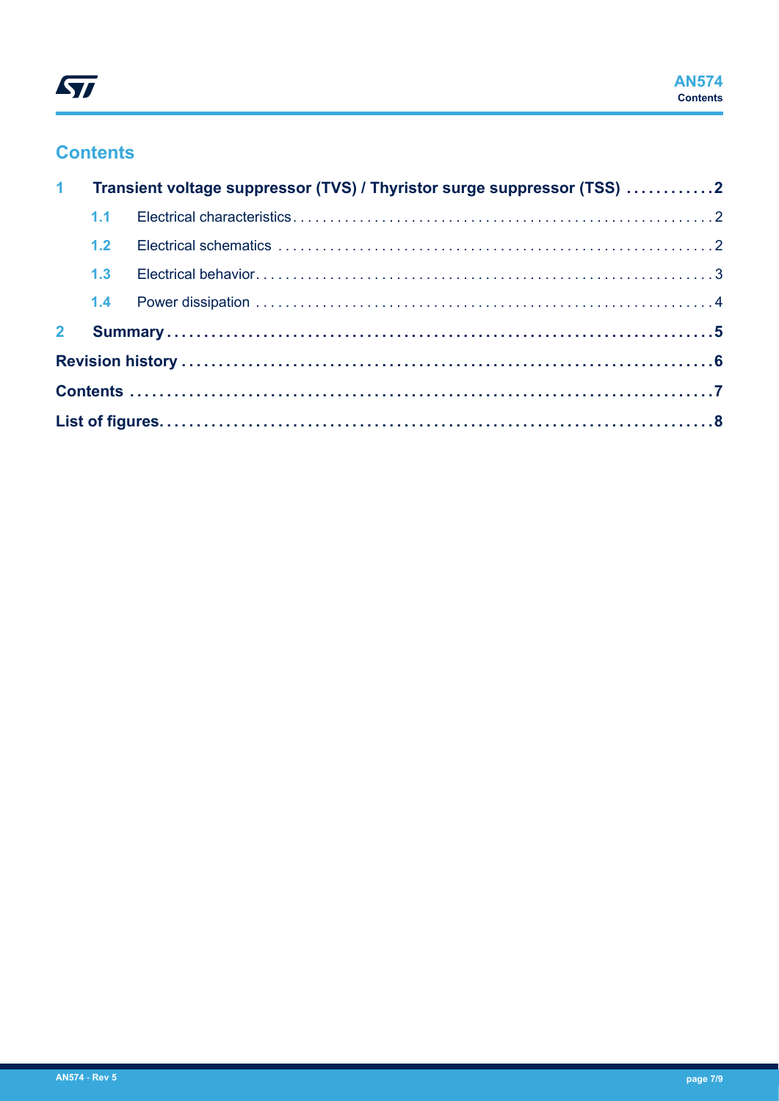

## **Contents**

| 1 <sup>1</sup> |  | Transient voltage suppressor (TVS) / Thyristor surge suppressor (TSS) 2 |  |
|----------------|--|-------------------------------------------------------------------------|--|
|                |  |                                                                         |  |
|                |  |                                                                         |  |
|                |  |                                                                         |  |
|                |  |                                                                         |  |
| 2 <sup>7</sup> |  |                                                                         |  |
|                |  |                                                                         |  |
|                |  |                                                                         |  |
|                |  |                                                                         |  |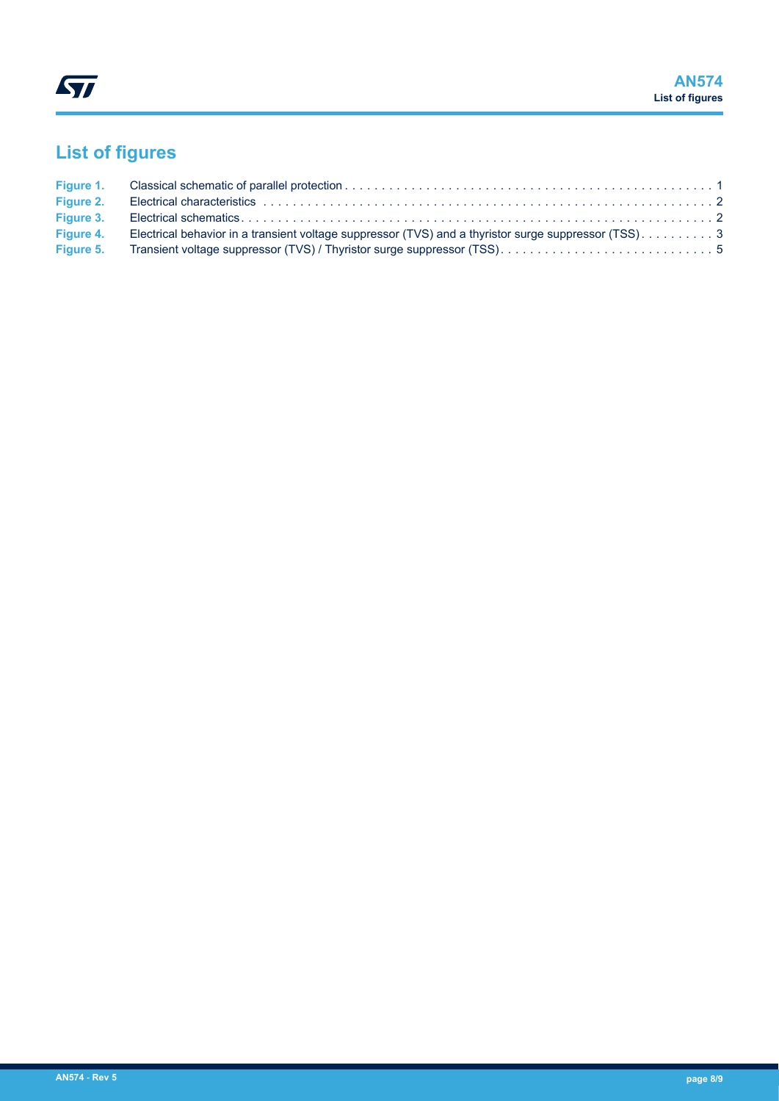# <span id="page-7-0"></span>**List of figures**

| Figure 1. |                                                                                                       |  |
|-----------|-------------------------------------------------------------------------------------------------------|--|
| Figure 2. |                                                                                                       |  |
| Figure 3. |                                                                                                       |  |
| Figure 4. | Electrical behavior in a transient voltage suppressor (TVS) and a thyristor surge suppressor (TSS). 3 |  |
| Figure 5. |                                                                                                       |  |